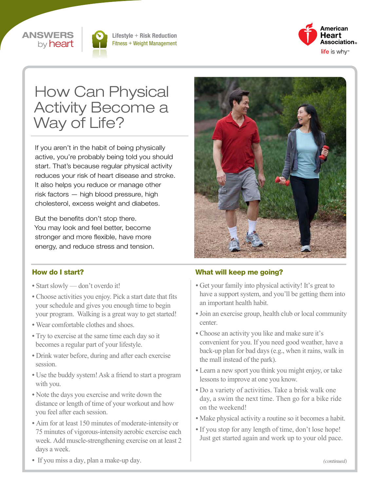



Lifestyle + Risk Reduction Fitness + Weight Management



# How Can Physical Activity Become a Way of Life?

If you aren't in the habit of being physically active, you're probably being told you should start. That's because regular physical activity reduces your risk of heart disease and stroke. It also helps you reduce or manage other risk factors — high blood pressure, high cholesterol, excess weight and diabetes.

But the benefits don't stop there. You may look and feel better, become stronger and more flexible, have more energy, and reduce stress and tension.



#### How do I start?

- Start slowly don't overdo it!
- Choose activities you enjoy. Pick a start date that fits your schedule and gives you enough time to begin your program. Walking is a great way to get started!
- Wear comfortable clothes and shoes.
- Try to exercise at the same time each day so it becomes a regular part of your lifestyle.
- Drink water before, during and after each exercise session.
- Use the buddy system! Ask a friend to start a program with you.
- Note the days you exercise and write down the distance or length of time of your workout and how you feel after each session.
- Aim for at least 150 minutes of moderate-intensity or 75 minutes of vigorous-intensity aerobic exercise each week. Add muscle-strengthening exercise on at least 2 days a week.

#### What will keep me going?

- Get your family into physical activity! It's great to have a support system, and you'll be getting them into an important health habit.
- Join an exercise group, health club or local community center.
- Choose an activity you like and make sure it's convenient for you. If you need good weather, have a back-up plan for bad days (e.g., when it rains, walk in the mall instead of the park).
- Learn a new sport you think you might enjoy, or take lessons to improve at one you know.
- Do a variety of activities. Take a brisk walk one day, a swim the next time. Then go for a bike ride on the weekend!
- Make physical activity a routine so it becomes a habit.
- If you stop for any length of time, don't lose hope! Just get started again and work up to your old pace.

• If you miss a day, plan a make-up day.